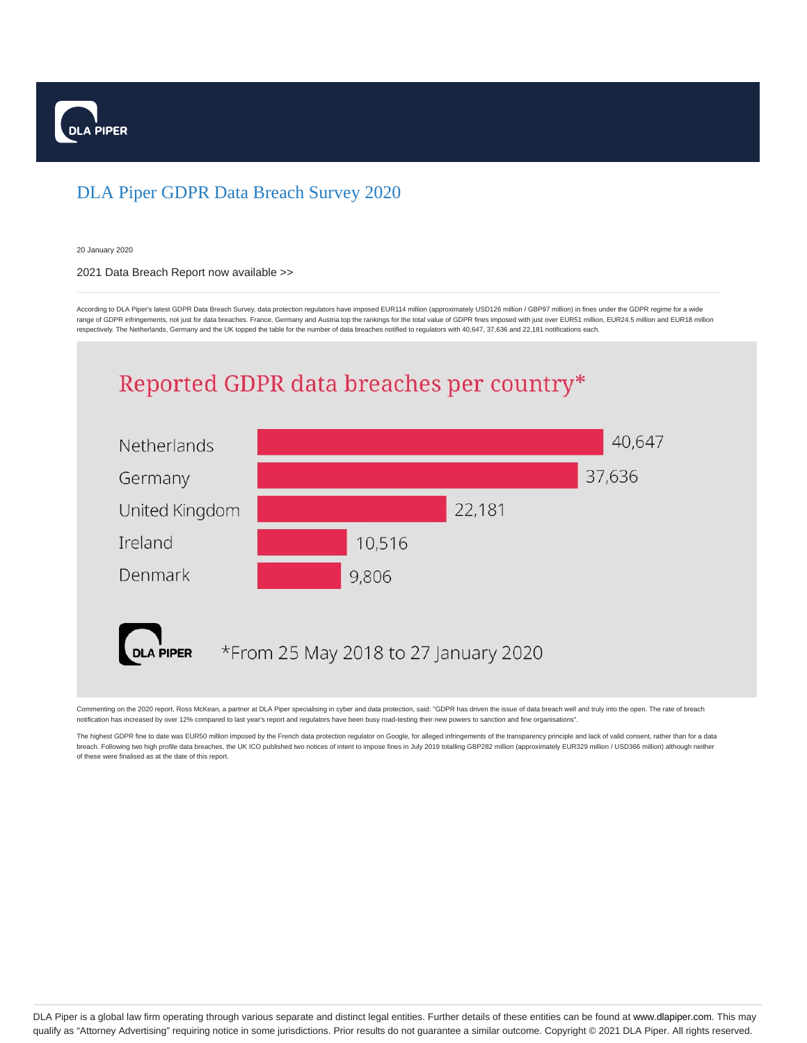

## DLA Piper GDPR Data Breach Survey 2020

20 January 2020

## 2021 Data Breach Report now available >>

According to DLA Piper's latest GDPR Data Breach Survey, data protection regulators have imposed EUR114 million (approximately USD126 million / GBP97 million) in fines under the GDPR regime for a wide range of GDPR infringements, not just for data breaches. France, Germany and Austria top the rankings for the total value of GDPR fines imposed with just over EUR51 million, EUR24.5 million and EUR18 million respectively. The Netherlands, Germany and the UK topped the table for the number of data breaches notified to regulators with 40,647, 37,636 and 22,181 notifications each.

## Reported GDPR data breaches per country\*



Commenting on the 2020 report, Ross McKean, a partner at DLA Piper specialising in cyber and data protection, said: "GDPR has driven the issue of data breach well and truly into the open. The rate of breach notification has increased by over 12% compared to last year's report and regulators have been busy road-testing their new powers to sanction and fine organisations".

The highest GDPR fine to date was EUR50 million imposed by the French data protection regulator on Google, for alleged infringements of the transparency principle and lack of valid consent, rather than for a data breach. Following two high profile data breaches, the UK ICO published two notices of intent to impose fines in July 2019 totalling GBP282 million (approximately EUR329 million / USD366 million) although neither of these were finalised as at the date of this report.